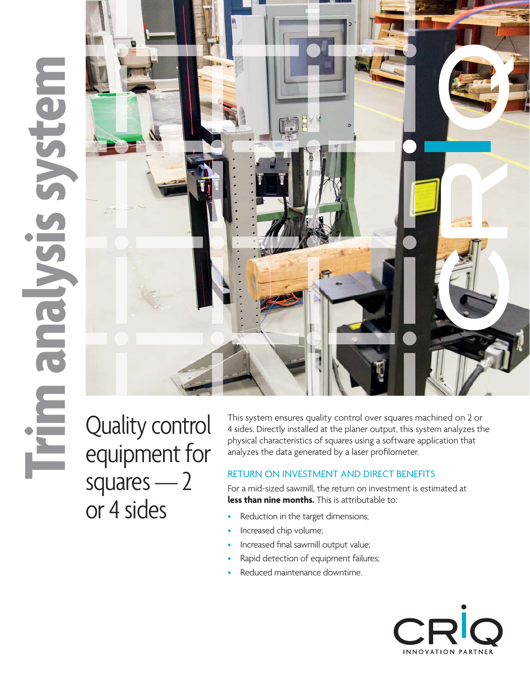# **Trim ana lysis syste m**



Quality control equipment for squares — 2 or 4 sides

This system ensures quality control over squares machined on 2 or 4 sides. Directly installed at the planer output, this system analyzes the physical characteristics of squares using a software application that analyzes the data generated by a laser profilometer.

# RETURN ON INVESTMENT AND DIRECT BENEFITS

For a mid-sized sawmill, the return on investment is estimated at **less than nine months.** This is attributable to:<br>• Reduction in the target dimensions:

- Reduction in the target dimensions;
- Increased chip volume;
- Increased final sawmill output value;
- Rapid detection of equipment failures;
- Reduced maintenance downtime.